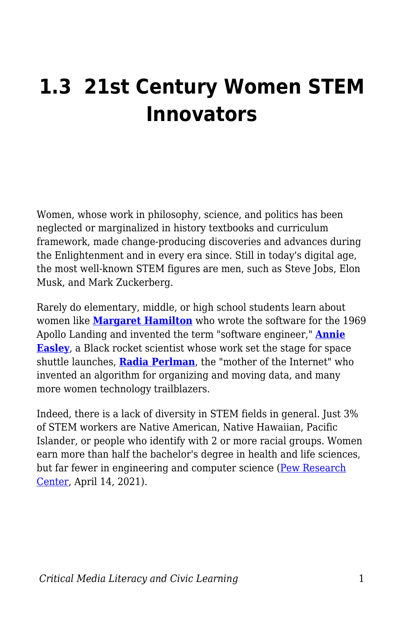# **1.3 21st Century Women STEM Innovators**

Women, whose work in philosophy, science, and politics has been neglected or marginalized in history textbooks and curriculum framework, made change-producing discoveries and advances during the Enlightenment and in every era since. Still in today's digital age, the most well-known STEM figures are men, such as Steve Jobs, Elon Musk, and Mark Zuckerberg.

Rarely do elementary, middle, or high school students learn about women like **[Margaret Hamilton](https://www.nasa.gov/feature/margaret-hamilton-apollo-software-engineer-awarded-presidential-medal-of-freedom)** who wrote the software for the 1969 Apollo Landing and invented the term "software engineer," **[Annie](https://www.nasa.gov/feature/annie-easley-computer-scientist) [Easley](https://www.nasa.gov/feature/annie-easley-computer-scientist)**, a Black rocket scientist whose work set the stage for space shuttle launches, **[Radia Perlman](https://lemelson.mit.edu/resources/radia-perlman)**, the "mother of the Internet" who invented an algorithm for organizing and moving data, and many more women technology trailblazers.

Indeed, there is a lack of diversity in STEM fields in general. Just 3% of STEM workers are Native American, Native Hawaiian, Pacific Islander, or people who identify with 2 or more racial groups. Women earn more than half the bachelor's degree in health and life sciences, but far fewer in engineering and computer science ([Pew Research](https://www.pewresearch.org/fact-tank/2021/04/14/6-facts-about-americas-stem-workforce-and-those-training-for-it/) [Center](https://www.pewresearch.org/fact-tank/2021/04/14/6-facts-about-americas-stem-workforce-and-those-training-for-it/), April 14, 2021).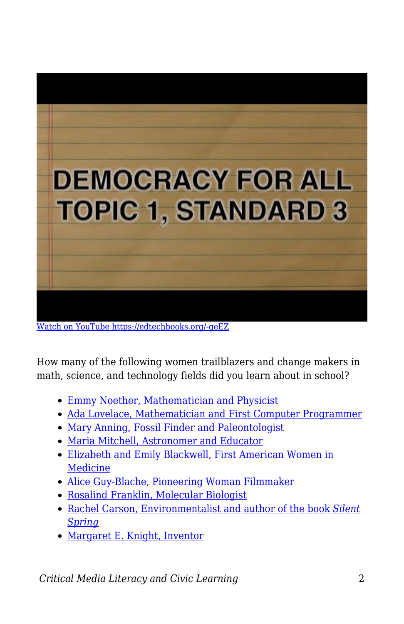

[Watch on YouTube https://edtechbooks.org/-geEZ](https://www.youtube.com/embed/rEIYO9Ujdds?autoplay=1&rel=0&showinfo=0&modestbranding=1)

How many of the following women trailblazers and change makers in math, science, and technology fields did you learn about in school?

- [Emmy Noether, Mathematician and Physicist](http://resourcesforhistoryteachers.pbworks.com/w/page/132543975/Emmy%20Noether%2C%20Mathematician%20and%20Physicist)
- [Ada Lovelace, Mathematician and First Computer Programmer](http://resourcesforhistoryteachers.pbworks.com/w/page/124613503/Ada%20Lovelace%2C%20Mathematician%20and%20First%20Computer%20Programmer)
- [Mary Anning, Fossil Finder and Paleontologist](http://resourcesforhistoryteachers.pbworks.com/w/page/123987570/Mary%20Anning%2C%20Fossil%20Finder%20and%20Paleontologist)
- [Maria Mitchell, Astronomer and Educator](http://resourcesforhistoryteachers.pbworks.com/w/page/123987570/Mary%20Anning%2C%20Fossil%20Finder%20and%20Paleontologist)
- [Elizabeth and Emily Blackwell, First American Women in](http://resourcesforhistoryteachers.pbworks.com/w/page/124612327/Elizabeth%20and%20Emily%20Blackwell%2C%20First%20Women%20in%20Medicine) **[Medicine](http://resourcesforhistoryteachers.pbworks.com/w/page/124612327/Elizabeth%20and%20Emily%20Blackwell%2C%20First%20Women%20in%20Medicine)**
- [Alice Guy-Blache, Pioneering Woman Filmmaker](http://resourcesforhistoryteachers.pbworks.com/w/page/129907326/Alice%20Guy-Blache%2C%20Pioneering%20Woman%20Filmmaker)
- [Rosalind Franklin, Molecular Biologist](http://resourcesforhistoryteachers.pbworks.com/w/page/123874236/Rosalind%20Franklin%2C%20Molecular%20Biologist)
- [Rachel Carson, Environmentalist and author of the book](http://resourcesforhistoryteachers.pbworks.com/w/page/124030524/Rachel%20Carson%20and%20Silent%20Spring) *[Silent](http://resourcesforhistoryteachers.pbworks.com/w/page/124030524/Rachel%20Carson%20and%20Silent%20Spring) [Spring](http://resourcesforhistoryteachers.pbworks.com/w/page/124030524/Rachel%20Carson%20and%20Silent%20Spring)*
- [Margaret E. Knight, Inventor](http://resourcesforhistoryteachers.pbworks.com/w/page/139266399/Margaret%20E%20Knight%20Paper%20Bag%20Machine%20Inventor)

*Critical Media Literacy and Civic Learning* 2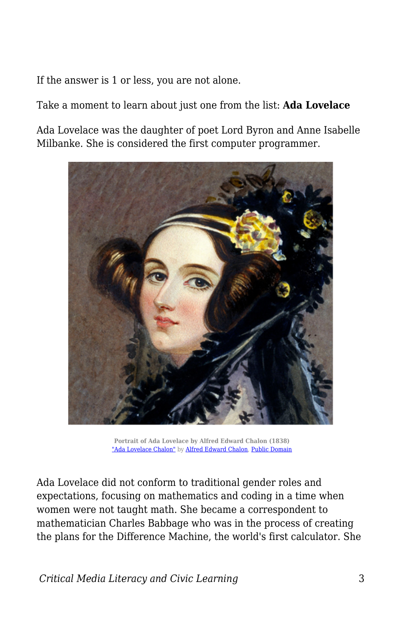If the answer is 1 or less, you are not alone.

Take a moment to learn about just one from the list: **Ada Lovelace**

Ada Lovelace was the daughter of poet Lord Byron and Anne Isabelle Milbanke. She is considered the first computer programmer.



**Portrait of Ada Lovelace by Alfred Edward Chalon (1838)** ["Ada Lovelace Chalon"](https://commons.wikimedia.org/wiki/File:Ada_Lovelace_Chalon_portrait.jpg) by [Alfred Edward Chalon,](https://en.wikipedia.org/wiki/Alfred_Edward_Chalon) [Public Domain](https://en.wikipedia.org/wiki/Public_domain)

Ada Lovelace did not conform to traditional gender roles and expectations, focusing on mathematics and coding in a time when women were not taught math. She became a correspondent to mathematician Charles Babbage who was in the process of creating the plans for the Difference Machine, the world's first calculator. She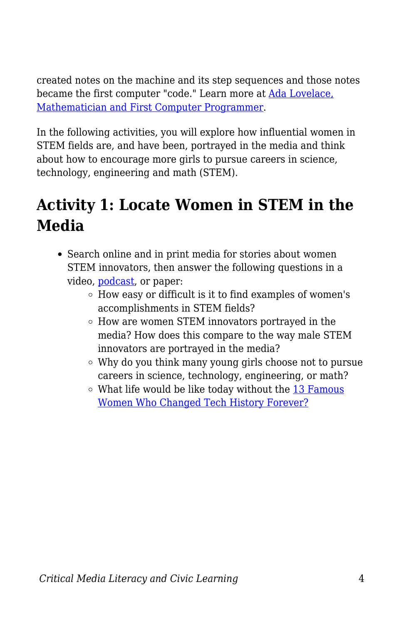created notes on the machine and its step sequences and those notes became the first computer "code." Learn more at [Ada Lovelace,](http://resourcesforhistoryteachers.pbworks.com/w/page/124613503/Ada%20Lovelace%2C%20Mathematician%20and%20First%20Computer%20Programmer) [Mathematician and First Computer Programmer](http://resourcesforhistoryteachers.pbworks.com/w/page/124613503/Ada%20Lovelace%2C%20Mathematician%20and%20First%20Computer%20Programmer).

In the following activities, you will explore how influential women in STEM fields are, and have been, portrayed in the media and think about how to encourage more girls to pursue careers in science, technology, engineering and math (STEM).

## **Activity 1: Locate Women in STEM in the Media**

- Search online and in print media for stories about women STEM innovators, then answer the following questions in a video, [podcast,](https://docs.google.com/document/d/1YMVhXBhqUU4qDBLO1jYNpMG0IzAl_YLSJ3OndOm6C6k/edit?usp=sharing) or paper:
	- How easy or difficult is it to find examples of women's accomplishments in STEM fields?
	- How are women STEM innovators portrayed in the media? How does this compare to the way male STEM innovators are portrayed in the media?
	- Why do you think many young girls choose not to pursue careers in science, technology, engineering, or math?
	- $\circ$  What life would be like today without the [13 Famous](https://insights.dice.com/2020/03/06/13-famous-women-changed-tech-history-forever/) [Women Who Changed Tech History Forever?](https://insights.dice.com/2020/03/06/13-famous-women-changed-tech-history-forever/)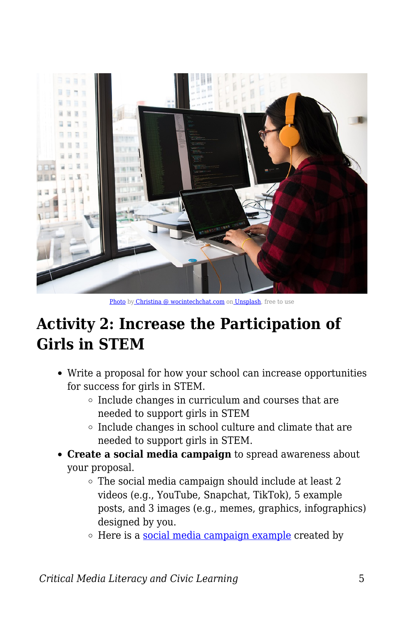

[Photo](https://unsplash.com/photos/fch6vkbouCc) b[y Christina @ wocintechchat.com](https://unsplash.com/@wocintechchat?utm_source=unsplash&utm_medium=referral&utm_content=creditCopyText) on [Unsplash,](https://unsplash.com/s/photos/woman-tech?utm_source=unsplash&utm_medium=referral&utm_content=creditCopyText) free to use

#### **Activity 2: Increase the Participation of Girls in STEM**

- Write a proposal for how your school can increase opportunities for success for girls in STEM.
	- $\circ$  Include changes in curriculum and courses that are needed to support girls in STEM
	- $\circ$  Include changes in school culture and climate that are needed to support girls in STEM.
- **Create a social media campaign** to spread awareness about your proposal.
	- $\circ$  The social media campaign should include at least 2 videos (e.g., YouTube, Snapchat, TikTok), 5 example posts, and 3 images (e.g., memes, graphics, infographics) designed by you.
	- $\circ$  Here is a [social media campaign example](https://docs.google.com/presentation/d/1UVq70iOjTZjuBomyv3qPZgc_niHIf2DmRZUc9UcUMS8/edit#slide=id.g4a3217772d_0_0) created by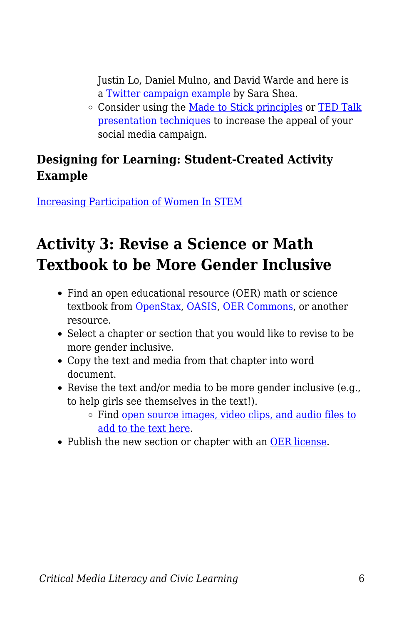Justin Lo, Daniel Mulno, and David Warde and here is a [Twitter campaign example](https://docs.google.com/presentation/d/1SUGk9qGu1GNfeXrdxcxayf4e1nDPV2529PrryngIEP0/edit?usp=sharing) by Sara Shea.

o Consider using the [Made to Stick principles](https://medium.com/constraint-drives-creativity/the-6-principles-to-make-your-ideas-stick-91a17229c949) or [TED Talk](https://visme.co/blog/how-to-start-a-presentation/) [presentation techniques](https://visme.co/blog/how-to-start-a-presentation/) to increase the appeal of your social media campaign.

#### **Designing for Learning: Student-Created Activity Example**

[Increasing Participation of Women In STEM](https://docs.google.com/document/d/1yuBtmHLVPdsKthoYl0qMFs9njE37UC15RuQpUwWRSiY/edit?usp=sharing)

## **Activity 3: Revise a Science or Math Textbook to be More Gender Inclusive**

- Find an open educational resource (OER) math or science textbook from [OpenStax](https://openstax.org/), [OASIS,](https://oasis.geneseo.edu/basic_search.php?type=Textbook) [OER Commons](https://www.oercommons.org/), or another resource.
- Select a chapter or section that you would like to revise to be more gender inclusive.
- Copy the text and media from that chapter into word document.
- Revise the text and/or media to be more gender inclusive (e.g., to help girls see themselves in the text!).
	- Find [open source images, video clips, and audio files to](https://docs.google.com/document/d/1xuwqQoRFzHa803tibQUdS_UdJRqyQZfJohgBH9R1pOQ/edit#heading=h.vl1dqf6r8hei) [add to the text here](https://docs.google.com/document/d/1xuwqQoRFzHa803tibQUdS_UdJRqyQZfJohgBH9R1pOQ/edit#heading=h.vl1dqf6r8hei).
- Publish the new section or chapter with an [OER license](https://creativecommons.org/get-cc-savvy/get-a-cc-license/).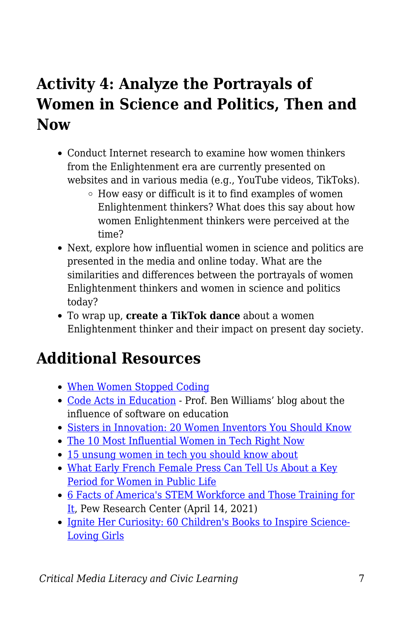## **Activity 4: Analyze the Portrayals of Women in Science and Politics, Then and Now**

- Conduct Internet research to examine how women thinkers from the Enlightenment era are currently presented on websites and in various media (e.g., YouTube videos, TikToks).
	- $\circ$  How easy or difficult is it to find examples of women Enlightenment thinkers? What does this say about how women Enlightenment thinkers were perceived at the time?
- Next, explore how influential women in science and politics are presented in the media and online today. What are the similarities and differences between the portrayals of women Enlightenment thinkers and women in science and politics today?
- To wrap up, **create a TikTok dance** about a women Enlightenment thinker and their impact on present day society.

#### **Additional Resources**

- [When Women Stopped Coding](https://www.npr.org/sections/money/2014/10/17/356944145/episode-576-when-women-stopped-coding)
- [Code Acts in Education](https://codeactsineducation.wordpress.com/?blogsub=confirming#subscribe-blog)  Prof. Ben Williams' blog about the influence of software on education
- [Sisters in Innovation: 20 Women Inventors You Should Know](https://www.amightygirl.com/blog?p=12223)
- [The 10 Most Influential Women in Tech Right Now](https://bigthink.com/technology-innovation/women-in-tech)
- [15 unsung women in tech you should know about](https://mashable.com/2018/03/08/unsung-women-in-tech/)
- [What Early French Female Press Can Tell Us About a Key](https://theconversation.com/what-early-french-female-press-can-tell-us-about-a-key-period-for-women-in-public-life-125851) [Period for Women in Public Life](https://theconversation.com/what-early-french-female-press-can-tell-us-about-a-key-period-for-women-in-public-life-125851)
- [6 Facts of America's STEM Workforce and Those Training for](https://www.pewresearch.org/fact-tank/2021/04/14/6-facts-about-americas-stem-workforce-and-those-training-for-it/) [It](https://www.pewresearch.org/fact-tank/2021/04/14/6-facts-about-americas-stem-workforce-and-those-training-for-it/), Pew Research Center (April 14, 2021)
- [Ignite Her Curiosity: 60 Children's Books to Inspire Science-](https://www.amightygirl.com/blog?p=13914)[Loving Girls](https://www.amightygirl.com/blog?p=13914)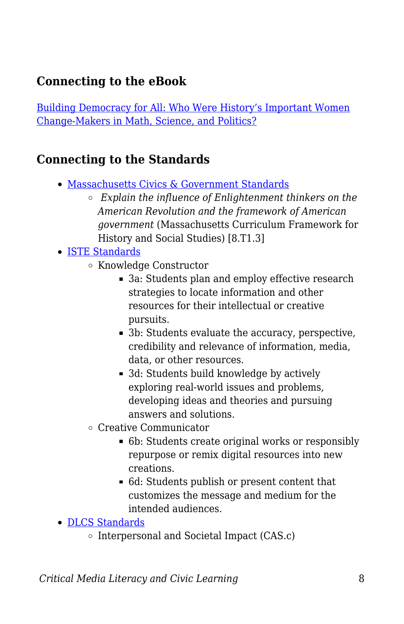#### **Connecting to the eBook**

[Building Democracy for All: Who Were History's Important Women](https://edtechbooks.org/democracy/enlightenment#p_nkkaC) [Change-Makers in Math, Science, and Politics?](https://edtechbooks.org/democracy/enlightenment#p_nkkaC)

#### **Connecting to the Standards**

- [Massachusetts Civics & Government Standards](https://www.doe.mass.edu/frameworks/hss/2018-12.pdf)
	- *Explain the influence of Enlightenment thinkers on the American Revolution and the framework of American government* (Massachusetts Curriculum Framework for History and Social Studies) [8.T1.3]
- [ISTE Standards](https://www.iste.org/standards/for-students)
	- Knowledge Constructor
		- 3a: Students plan and employ effective research strategies to locate information and other resources for their intellectual or creative pursuits.
		- 3b: Students evaluate the accuracy, perspective, credibility and relevance of information, media, data, or other resources.
		- 3d: Students build knowledge by actively exploring real-world issues and problems, developing ideas and theories and pursuing answers and solutions.
	- Creative Communicator
		- 6b: Students create original works or responsibly repurpose or remix digital resources into new creations.
		- 6d: Students publish or present content that customizes the message and medium for the intended audiences.
- [DLCS Standards](https://www.doe.mass.edu/stem/dlcs/?section=planningtools)
	- $\circ$  Interpersonal and Societal Impact (CAS.c)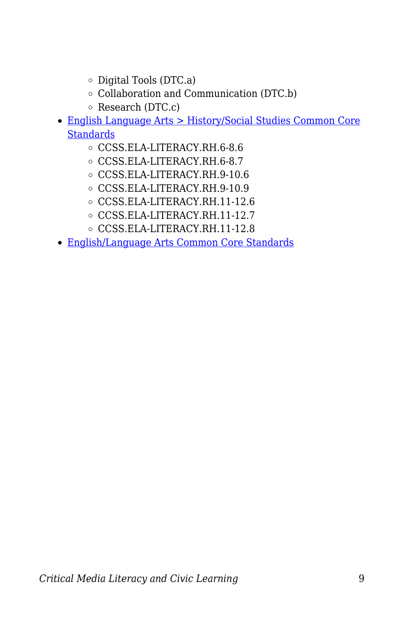- $\circ$  Digital Tools (DTC.a)
- Collaboration and Communication (DTC.b)
- $\circ$  Research (DTC.c)
- [English Language Arts > History/Social Studies Common Core](http://www.corestandards.org/ELA-Literacy/RH/introduction/) **[Standards](http://www.corestandards.org/ELA-Literacy/RH/introduction/)** 
	- CCSS.ELA-LITERACY.RH.6-8.6
	- CCSS.ELA-LITERACY.RH.6-8.7
	- CCSS.ELA-LITERACY.RH.9-10.6
	- CCSS.ELA-LITERACY.RH.9-10.9
	- CCSS.ELA-LITERACY.RH.11-12.6
	- CCSS.ELA-LITERACY.RH.11-12.7
	- CCSS.ELA-LITERACY.RH.11-12.8
- [English/Language Arts Common Core Standards](http://www.corestandards.org/ELA-Literacy/)